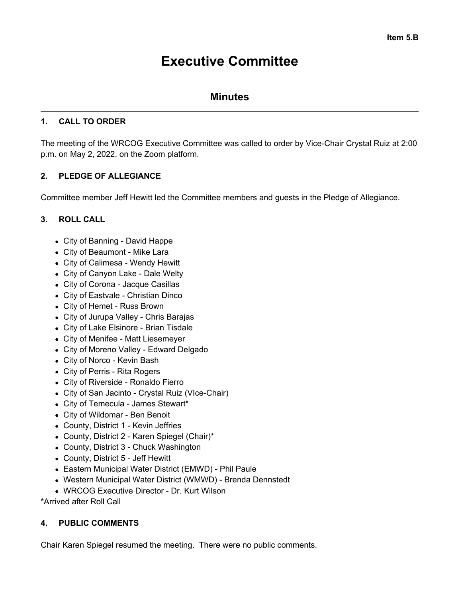# **Executive Committee**

# **Minutes**

## **1. CALL TO ORDER**

The meeting of the WRCOG Executive Committee was called to order by Vice-Chair Crystal Ruiz at 2:00 p.m. on May 2, 2022, on the Zoom platform.

# **2. PLEDGE OF ALLEGIANCE**

Committee member Jeff Hewitt led the Committee members and guests in the Pledge of Allegiance.

# **3. ROLL CALL**

- City of Banning David Happe
- City of Beaumont Mike Lara
- City of Calimesa Wendy Hewitt
- City of Canyon Lake Dale Welty
- City of Corona Jacque Casillas
- City of Eastvale Christian Dinco
- City of Hemet Russ Brown
- City of Jurupa Valley Chris Barajas
- City of Lake Elsinore Brian Tisdale
- City of Menifee Matt Liesemeyer
- City of Moreno Valley Edward Delgado
- City of Norco Kevin Bash
- City of Perris Rita Rogers
- City of Riverside Ronaldo Fierro
- City of San Jacinto Crystal Ruiz (VIce-Chair)
- City of Temecula James Stewart\*
- City of Wildomar Ben Benoit
- County, District 1 Kevin Jeffries
- County, District 2 Karen Spiegel (Chair)\*
- County, District 3 Chuck Washington
- County, District 5 Jeff Hewitt
- Eastern Municipal Water District (EMWD) Phil Paule
- Western Municipal Water District (WMWD) Brenda Dennstedt
- WRCOG Executive Director Dr. Kurt Wilson

\*Arrived after Roll Call

## **4. PUBLIC COMMENTS**

Chair Karen Spiegel resumed the meeting. There were no public comments.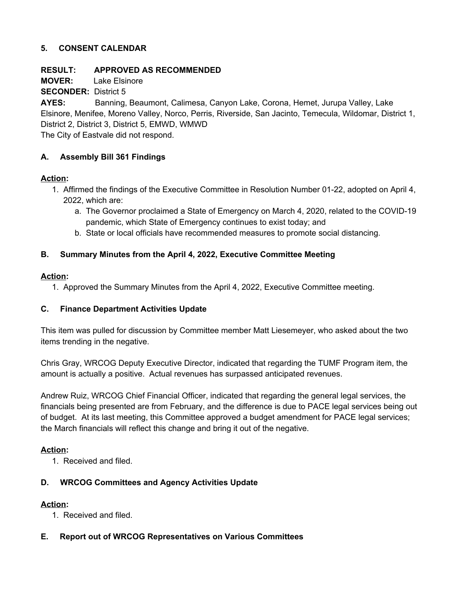#### **5. CONSENT CALENDAR**

#### **RESULT: APPROVED AS RECOMMENDED**

**MOVER:** Lake Elsinore

**SECONDER:** District 5

**AYES:** Banning, Beaumont, Calimesa, Canyon Lake, Corona, Hemet, Jurupa Valley, Lake Elsinore, Menifee, Moreno Valley, Norco, Perris, Riverside, San Jacinto, Temecula, Wildomar, District 1, District 2, District 3, District 5, EMWD, WMWD The City of Eastvale did not respond.

#### **A. Assembly Bill 361 Findings**

#### **Action:**

- 1. Affirmed the findings of the Executive Committee in Resolution Number 01-22, adopted on April 4, 2022, which are:
	- a. The Governor proclaimed a State of Emergency on March 4, 2020, related to the COVID-19 pandemic, which State of Emergency continues to exist today; and
	- b. State or local officials have recommended measures to promote social distancing.

#### **B. Summary Minutes from the April 4, 2022, Executive Committee Meeting**

#### **Action:**

1. Approved the Summary Minutes from the April 4, 2022, Executive Committee meeting.

## **C. Finance Department Activities Update**

This item was pulled for discussion by Committee member Matt Liesemeyer, who asked about the two items trending in the negative.

Chris Gray, WRCOG Deputy Executive Director, indicated that regarding the TUMF Program item, the amount is actually a positive. Actual revenues has surpassed anticipated revenues.

Andrew Ruiz, WRCOG Chief Financial Officer, indicated that regarding the general legal services, the financials being presented are from February, and the difference is due to PACE legal services being out of budget. At its last meeting, this Committee approved a budget amendment for PACE legal services; the March financials will reflect this change and bring it out of the negative.

#### **Action:**

1. Received and filed.

## **D. WRCOG Committees and Agency Activities Update**

## **Action:**

1. Received and filed.

## **E. Report out of WRCOG Representatives on Various Committees**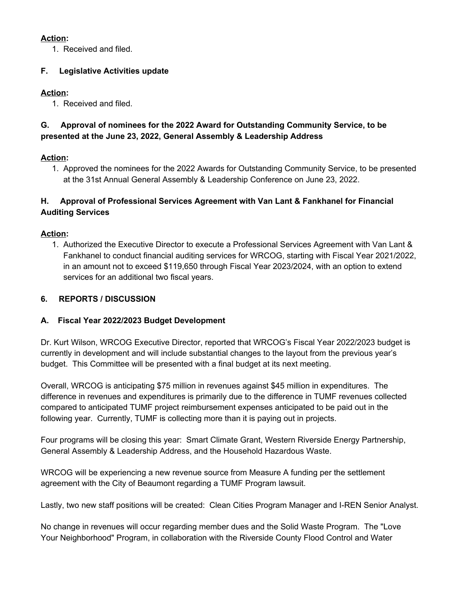## **Action:**

1. Received and filed.

# **F. Legislative Activities update**

# **Action:**

1. Received and filed.

# **G. Approval of nominees for the 2022 Award for Outstanding Community Service, to be presented at the June 23, 2022, General Assembly & Leadership Address**

# **Action:**

1. Approved the nominees for the 2022 Awards for Outstanding Community Service, to be presented at the 31st Annual General Assembly & Leadership Conference on June 23, 2022.

# **H. Approval of Professional Services Agreement with Van Lant & Fankhanel for Financial Auditing Services**

# **Action:**

1. Authorized the Executive Director to execute a Professional Services Agreement with Van Lant & Fankhanel to conduct financial auditing services for WRCOG, starting with Fiscal Year 2021/2022, in an amount not to exceed \$119,650 through Fiscal Year 2023/2024, with an option to extend services for an additional two fiscal years.

# **6. REPORTS / DISCUSSION**

## **A. Fiscal Year 2022/2023 Budget Development**

Dr. Kurt Wilson, WRCOG Executive Director, reported that WRCOG's Fiscal Year 2022/2023 budget is currently in development and will include substantial changes to the layout from the previous year's budget. This Committee will be presented with a final budget at its next meeting.

Overall, WRCOG is anticipating \$75 million in revenues against \$45 million in expenditures. The difference in revenues and expenditures is primarily due to the difference in TUMF revenues collected compared to anticipated TUMF project reimbursement expenses anticipated to be paid out in the following year. Currently, TUMF is collecting more than it is paying out in projects.

Four programs will be closing this year: Smart Climate Grant, Western Riverside Energy Partnership, General Assembly & Leadership Address, and the Household Hazardous Waste.

WRCOG will be experiencing a new revenue source from Measure A funding per the settlement agreement with the City of Beaumont regarding a TUMF Program lawsuit.

Lastly, two new staff positions will be created: Clean Cities Program Manager and I-REN Senior Analyst.

No change in revenues will occur regarding member dues and the Solid Waste Program. The "Love Your Neighborhood" Program, in collaboration with the Riverside County Flood Control and Water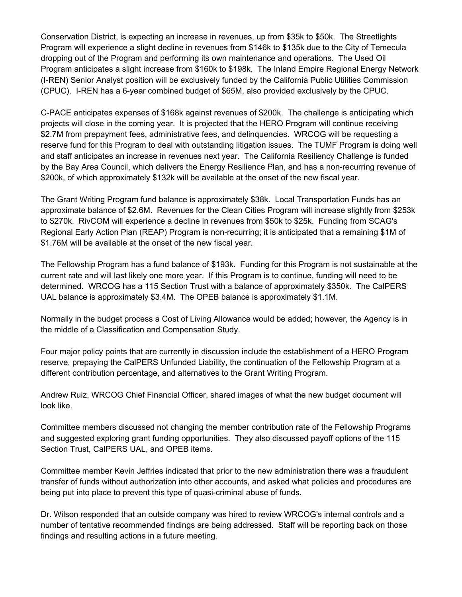Conservation District, is expecting an increase in revenues, up from \$35k to \$50k. The Streetlights Program will experience a slight decline in revenues from \$146k to \$135k due to the City of Temecula dropping out of the Program and performing its own maintenance and operations. The Used Oil Program anticipates a slight increase from \$160k to \$198k. The Inland Empire Regional Energy Network (I-REN) Senior Analyst position will be exclusively funded by the California Public Utilities Commission (CPUC). I-REN has a 6-year combined budget of \$65M, also provided exclusively by the CPUC.

C-PACE anticipates expenses of \$168k against revenues of \$200k. The challenge is anticipating which projects will close in the coming year. It is projected that the HERO Program will continue receiving \$2.7M from prepayment fees, administrative fees, and delinquencies. WRCOG will be requesting a reserve fund for this Program to deal with outstanding litigation issues. The TUMF Program is doing well and staff anticipates an increase in revenues next year. The California Resiliency Challenge is funded by the Bay Area Council, which delivers the Energy Resilience Plan, and has a non-recurring revenue of \$200k, of which approximately \$132k will be available at the onset of the new fiscal year.

The Grant Writing Program fund balance is approximately \$38k. Local Transportation Funds has an approximate balance of \$2.6M. Revenues for the Clean Cities Program will increase slightly from \$253k to \$270k. RivCOM will experience a decline in revenues from \$50k to \$25k. Funding from SCAG's Regional Early Action Plan (REAP) Program is non-recurring; it is anticipated that a remaining \$1M of \$1.76M will be available at the onset of the new fiscal year.

The Fellowship Program has a fund balance of \$193k. Funding for this Program is not sustainable at the current rate and will last likely one more year. If this Program is to continue, funding will need to be determined. WRCOG has a 115 Section Trust with a balance of approximately \$350k. The CalPERS UAL balance is approximately \$3.4M. The OPEB balance is approximately \$1.1M.

Normally in the budget process a Cost of Living Allowance would be added; however, the Agency is in the middle of a Classification and Compensation Study.

Four major policy points that are currently in discussion include the establishment of a HERO Program reserve, prepaying the CalPERS Unfunded Liability, the continuation of the Fellowship Program at a different contribution percentage, and alternatives to the Grant Writing Program.

Andrew Ruiz, WRCOG Chief Financial Officer, shared images of what the new budget document will look like.

Committee members discussed not changing the member contribution rate of the Fellowship Programs and suggested exploring grant funding opportunities. They also discussed payoff options of the 115 Section Trust, CalPERS UAL, and OPEB items.

Committee member Kevin Jeffries indicated that prior to the new administration there was a fraudulent transfer of funds without authorization into other accounts, and asked what policies and procedures are being put into place to prevent this type of quasi-criminal abuse of funds.

Dr. Wilson responded that an outside company was hired to review WRCOG's internal controls and a number of tentative recommended findings are being addressed. Staff will be reporting back on those findings and resulting actions in a future meeting.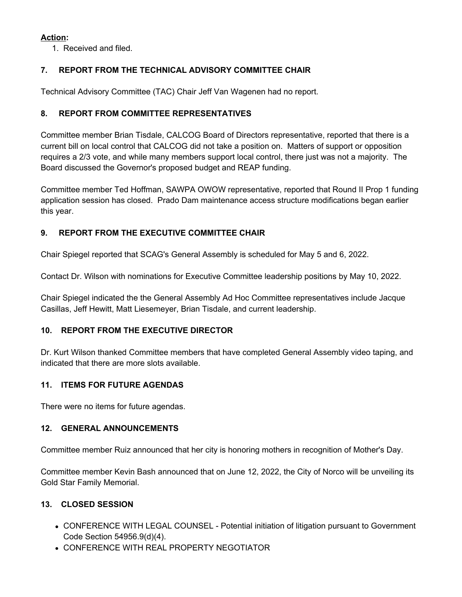# **Action:**

1. Received and filed.

# **7. REPORT FROM THE TECHNICAL ADVISORY COMMITTEE CHAIR**

Technical Advisory Committee (TAC) Chair Jeff Van Wagenen had no report.

## **8. REPORT FROM COMMITTEE REPRESENTATIVES**

Committee member Brian Tisdale, CALCOG Board of Directors representative, reported that there is a current bill on local control that CALCOG did not take a position on. Matters of support or opposition requires a 2/3 vote, and while many members support local control, there just was not a majority. The Board discussed the Governor's proposed budget and REAP funding.

Committee member Ted Hoffman, SAWPA OWOW representative, reported that Round II Prop 1 funding application session has closed. Prado Dam maintenance access structure modifications began earlier this year.

# **9. REPORT FROM THE EXECUTIVE COMMITTEE CHAIR**

Chair Spiegel reported that SCAG's General Assembly is scheduled for May 5 and 6, 2022.

Contact Dr. Wilson with nominations for Executive Committee leadership positions by May 10, 2022.

Chair Spiegel indicated the the General Assembly Ad Hoc Committee representatives include Jacque Casillas, Jeff Hewitt, Matt Liesemeyer, Brian Tisdale, and current leadership.

## **10. REPORT FROM THE EXECUTIVE DIRECTOR**

Dr. Kurt Wilson thanked Committee members that have completed General Assembly video taping, and indicated that there are more slots available.

## **11. ITEMS FOR FUTURE AGENDAS**

There were no items for future agendas.

#### **12. GENERAL ANNOUNCEMENTS**

Committee member Ruiz announced that her city is honoring mothers in recognition of Mother's Day.

Committee member Kevin Bash announced that on June 12, 2022, the City of Norco will be unveiling its Gold Star Family Memorial.

## **13. CLOSED SESSION**

- CONFERENCE WITH LEGAL COUNSEL Potential initiation of litigation pursuant to Government Code Section 54956.9(d)(4).
- CONFERENCE WITH REAL PROPERTY NEGOTIATOR